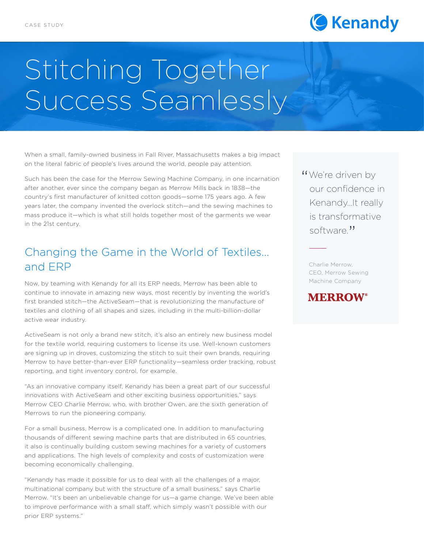

# Stitching Together Success Seamlessly

When a small, family-owned business in Fall River, Massachusetts makes a big impact on the literal fabric of people's lives around the world, people pay attention.

Such has been the case for the Merrow Sewing Machine Company, in one incarnation after another, ever since the company began as Merrow Mills back in 1838—the country's first manufacturer of knitted cotton goods—some 175 years ago. A few years later, the company invented the overlock stitch—and the sewing machines to mass produce it—which is what still holds together most of the garments we wear in the 21st century.

## Changing the Game in the World of Textiles... and ERP

Now, by teaming with Kenandy for all its ERP needs, Merrow has been able to continue to innovate in amazing new ways, most recently by inventing the world's first branded stitch—the ActiveSeam—that is revolutionizing the manufacture of textiles and clothing of all shapes and sizes, including in the multi-billion-dollar active wear industry.

ActiveSeam is not only a brand new stitch, it's also an entirely new business model for the textile world, requiring customers to license its use. Well-known customers are signing up in droves, customizing the stitch to suit their own brands, requiring Merrow to have better-than-ever ERP functionality—seamless order tracking, robust reporting, and tight inventory control, for example.

"As an innovative company itself, Kenandy has been a great part of our successful innovations with ActiveSeam and other exciting business opportunities," says Merrow CEO Charlie Merrow, who, with brother Owen, are the sixth generation of Merrows to run the pioneering company.

For a small business, Merrow is a complicated one. In addition to manufacturing thousands of different sewing machine parts that are distributed in 65 countries, it also is continually building custom sewing machines for a variety of customers and applications. The high levels of complexity and costs of customization were becoming economically challenging.

"Kenandy has made it possible for us to deal with all the challenges of a major, multinational company but with the structure of a small business," says Charlie Merrow. "It's been an unbelievable change for us—a game change. We've been able to improve performance with a small staff, which simply wasn't possible with our prior ERP systems."

"We're driven by<br>
our confidence our confidence in Kenandy…It really is transformative software."

Charlie Merrow, CEO, Merrow Sewing Machine Company